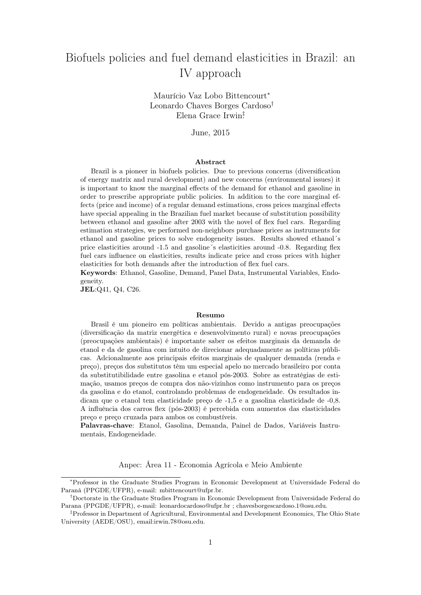# Biofuels policies and fuel demand elasticities in Brazil: an IV approach

Maurício Vaz Lobo Bittencourt<sup>∗</sup> Leonardo Chaves Borges Cardoso† Elena Grace Irwin‡ .

June, 2015

#### Abstract

Brazil is a pioneer in biofuels policies. Due to previous concerns (diversification of energy matrix and rural development) and new concerns (environmental issues) it is important to know the marginal effects of the demand for ethanol and gasoline in order to prescribe appropriate public policies. In addition to the core marginal effects (price and income) of a regular demand estimations, cross prices marginal effects have special appealing in the Brazilian fuel market because of substitution possibility between ethanol and gasoline after 2003 with the novel of flex fuel cars. Regarding estimation strategies, we performed non-neighbors purchase prices as instruments for ethanol and gasoline prices to solve endogeneity issues. Results showed ethanol´s price elasticities around -1.5 and gasoline´s elasticities around -0.8. Regarding flex fuel cars influence on elasticities, results indicate price and cross prices with higher elasticities for both demands after the introduction of flex fuel cars.

Keywords: Ethanol, Gasoline, Demand, Panel Data, Instrumental Variables, Endogeneity.

JEL:Q41, Q4, C26.

#### Resumo

Brasil é um pioneiro em políticas ambientais. Devido a antigas preocupações (diversificação da matriz energética e desenvolvimento rural) e novas preocupações (preocupações ambientais) é importante saber os efeitos marginais da demanda de etanol e da de gasolina com intuito de direcionar adequadamente as políticas públicas. Adcionalmente aos principais efeitos marginais de qualquer demanda (renda e preço), preços dos substitutos têm um especial apelo no mercado brasileiro por conta da substitutibilidade entre gasolina e etanol pós-2003. Sobre as estratégias de estimação, usamos preços de compra dos não-vizinhos como instrumento para os preços da gasolina e do etanol, controlando problemas de endogeneidade. Os resultados indicam que o etanol tem elasticidade preço de -1,5 e a gasolina elasticidade de -0,8. A influência dos carros flex (pós-2003) é percebida com aumentos das elasticidades preço e preço cruzada para ambos os combustíveis.

Palavras-chave: Etanol, Gasolina, Demanda, Painel de Dados, Variáveis Instrumentais, Endogeneidade.

Anpec: Área 11 - Economia Agrícola e Meio Ambiente

<sup>∗</sup>Professor in the Graduate Studies Program in Economic Development at Universidade Federal do Paraná (PPGDE/UFPR), e-mail: mbittencourt@ufpr.br.

<sup>†</sup>Doctorate in the Graduate Studies Program in Economic Development from Universidade Federal do Parana (PPGDE/UFPR), e-mail: leonardocardoso@ufpr.br ; chavesborgescardoso.1@osu.edu.

<sup>‡</sup>Professor in Department of Agricultural, Environmental and Development Economics, The Ohio State University (AEDE/OSU), email:irwin.78@osu.edu.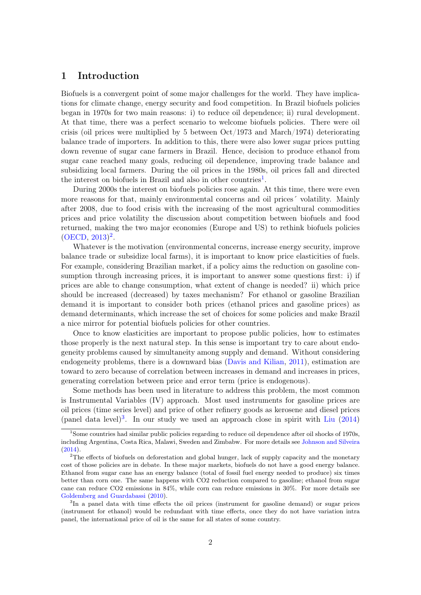# 1 Introduction

Biofuels is a convergent point of some major challenges for the world. They have implications for climate change, energy security and food competition. In Brazil biofuels policies began in 1970s for two main reasons: i) to reduce oil dependence; ii) rural development. At that time, there was a perfect scenario to welcome biofuels policies. There were oil crisis (oil prices were multiplied by 5 between Oct/1973 and March/1974) deteriorating balance trade of importers. In addition to this, there were also lower sugar prices putting down revenue of sugar cane farmers in Brazil. Hence, decision to produce ethanol from sugar cane reached many goals, reducing oil dependence, improving trade balance and subsidizing local farmers. During the oil prices in the 1980s, oil prices fall and directed the interest on biofuels in Brazil and also in other countries<sup>[1](#page-1-0)</sup>.

During 2000s the interest on biofuels policies rose again. At this time, there were even more reasons for that, mainly environmental concerns and oil prices´ volatility. Mainly after 2008, due to food crisis with the increasing of the most agricultural commodities prices and price volatility the discussion about competition between biofuels and food returned, making the two major economies (Europe and US) to rethink biofuels policies  $(OECD, 2013)^2$  $(OECD, 2013)^2$  $(OECD, 2013)^2$  $(OECD, 2013)^2$  $(OECD, 2013)^2$ .

Whatever is the motivation (environmental concerns, increase energy security, improve balance trade or subsidize local farms), it is important to know price elasticities of fuels. For example, considering Brazilian market, if a policy aims the reduction on gasoline consumption through increasing prices, it is important to answer some questions first: i) if prices are able to change consumption, what extent of change is needed? ii) which price should be increased (decreased) by taxes mechanism? For ethanol or gasoline Brazilian demand it is important to consider both prices (ethanol prices and gasoline prices) as demand determinants, which increase the set of choices for some policies and make Brazil a nice mirror for potential biofuels policies for other countries.

Once to know elasticities are important to propose public policies, how to estimates those properly is the next natural step. In this sense is important try to care about endogeneity problems caused by simultaneity among supply and demand. Without considering endogeneity problems, there is a downward bias [\(Davis and Kilian,](#page-17-0) [2011\)](#page-17-0), estimation are toward to zero because of correlation between increases in demand and increases in prices, generating correlation between price and error term (price is endogenous).

Some methods has been used in literature to address this problem, the most common is Instrumental Variables (IV) approach. Most used instruments for gasoline prices are oil prices (time series level) and price of other refinery goods as kerosene and diesel prices (panel data level)<sup>[3](#page-1-2)</sup>. In our study we used an approach close in spirit with [Liu](#page-18-1)  $(2014)$ 

<span id="page-1-0"></span><sup>&</sup>lt;sup>1</sup>Some countries had similar public policies regarding to reduce oil dependence after oil shocks of 1970s, including Argentina, Costa Rica, Malawi, Sweden and Zimbabw. For more details see [Johnson and Silveira](#page-18-2) [\(2014\)](#page-18-2).

<span id="page-1-1"></span> $2$ The effects of biofuels on deforestation and global hunger, lack of supply capacity and the monetary cost of those policies are in debate. In these major markets, biofuels do not have a good energy balance. Ethanol from sugar cane has an energy balance (total of fossil fuel energy needed to produce) six times better than corn one. The same happens with CO2 reduction compared to gasoline; ethanol from sugar cane can reduce CO2 emissions in 84%, while corn can reduce emissions in 30%. For more details see [Goldemberg and Guardabassi](#page-17-1) [\(2010\)](#page-17-1).

<span id="page-1-2"></span><sup>&</sup>lt;sup>3</sup>In a panel data with time effects the oil prices (instrument for gasoline demand) or sugar prices (instrument for ethanol) would be redundant with time effects, once they do not have variation intra panel, the international price of oil is the same for all states of some country.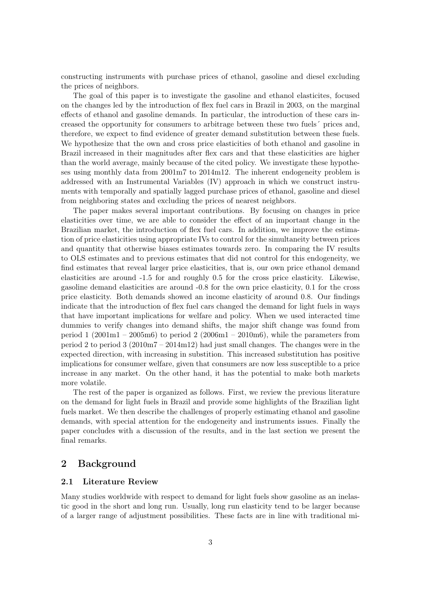constructing instruments with purchase prices of ethanol, gasoline and diesel excluding the prices of neighbors.

The goal of this paper is to investigate the gasoline and ethanol elasticites, focused on the changes led by the introduction of flex fuel cars in Brazil in 2003, on the marginal effects of ethanol and gasoline demands. In particular, the introduction of these cars increased the opportunity for consumers to arbitrage between these two fuels´ prices and, therefore, we expect to find evidence of greater demand substitution between these fuels. We hypothesize that the own and cross price elasticities of both ethanol and gasoline in Brazil increased in their magnitudes after flex cars and that these elasticities are higher than the world average, mainly because of the cited policy. We investigate these hypotheses using monthly data from 2001m7 to 2014m12. The inherent endogeneity problem is addressed with an Instrumental Variables (IV) approach in which we construct instruments with temporally and spatially lagged purchase prices of ethanol, gasoline and diesel from neighboring states and excluding the prices of nearest neighbors.

The paper makes several important contributions. By focusing on changes in price elasticities over time, we are able to consider the effect of an important change in the Brazilian market, the introduction of flex fuel cars. In addition, we improve the estimation of price elasticities using appropriate IVs to control for the simultaneity between prices and quantity that otherwise biases estimates towards zero. In comparing the IV results to OLS estimates and to previous estimates that did not control for this endogeneity, we find estimates that reveal larger price elasticities, that is, our own price ethanol demand elasticities are around -1.5 for and roughly 0.5 for the cross price elasticity. Likewise, gasoline demand elasticities are around -0.8 for the own price elasticity, 0.1 for the cross price elasticity. Both demands showed an income elasticity of around 0.8. Our findings indicate that the introduction of flex fuel cars changed the demand for light fuels in ways that have important implications for welfare and policy. When we used interacted time dummies to verify changes into demand shifts, the major shift change was found from period  $1 (2001 \text{m}1 - 2005 \text{m}\text{)}$  to period  $2 (2006 \text{m}1 - 2010 \text{m}\text{)}$ , while the parameters from period 2 to period 3 (2010m7 – 2014m12) had just small changes. The changes were in the expected direction, with increasing in substition. This increased substitution has positive implications for consumer welfare, given that consumers are now less susceptible to a price increase in any market. On the other hand, it has the potential to make both markets more volatile.

The rest of the paper is organized as follows. First, we review the previous literature on the demand for light fuels in Brazil and provide some highlights of the Brazilian light fuels market. We then describe the challenges of properly estimating ethanol and gasoline demands, with special attention for the endogeneity and instruments issues. Finally the paper concludes with a discussion of the results, and in the last section we present the final remarks.

# 2 Background

#### 2.1 Literature Review

Many studies worldwide with respect to demand for light fuels show gasoline as an inelastic good in the short and long run. Usually, long run elasticity tend to be larger because of a larger range of adjustment possibilities. These facts are in line with traditional mi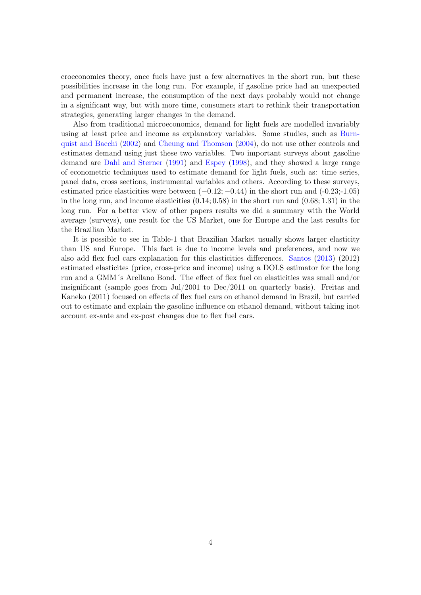croeconomics theory, once fuels have just a few alternatives in the short run, but these possibilities increase in the long run. For example, if gasoline price had an unexpected and permanent increase, the consumption of the next days probably would not change in a significant way, but with more time, consumers start to rethink their transportation strategies, generating larger changes in the demand.

Also from traditional microeconomics, demand for light fuels are modelled invariably using at least price and income as explanatory variables. Some studies, such as [Burn](#page-17-2)[quist and Bacchi](#page-17-2) [\(2002\)](#page-17-2) and [Cheung and Thomson](#page-17-3) [\(2004\)](#page-17-3), do not use other controls and estimates demand using just these two variables. Two important surveys about gasoline demand are [Dahl and Sterner](#page-17-4) [\(1991\)](#page-17-4) and [Espey](#page-17-5) [\(1998\)](#page-17-5), and they showed a large range of econometric techniques used to estimate demand for light fuels, such as: time series, panel data, cross sections, instrumental variables and others. According to these surveys, estimated price elasticities were between  $(-0.12; -0.44)$  in the short run and  $(-0.23; -1.05)$ in the long run, and income elasticities  $(0.14; 0.58)$  in the short run and  $(0.68; 1.31)$  in the long run. For a better view of other papers results we did a summary with the World average (surveys), one result for the US Market, one for Europe and the last results for the Brazilian Market.

It is possible to see in Table-1 that Brazilian Market usually shows larger elasticity than US and Europe. This fact is due to income levels and preferences, and now we also add flex fuel cars explanation for this elasticities differences. [Santos](#page-18-3) [\(2013\)](#page-18-3) (2012) estimated elasticites (price, cross-price and income) using a DOLS estimator for the long run and a GMM´s Arellano Bond. The effect of flex fuel on elasticities was small and/or insignificant (sample goes from Jul/2001 to Dec/2011 on quarterly basis). Freitas and Kaneko (2011) focused on effects of flex fuel cars on ethanol demand in Brazil, but carried out to estimate and explain the gasoline influence on ethanol demand, without taking inot account ex-ante and ex-post changes due to flex fuel cars.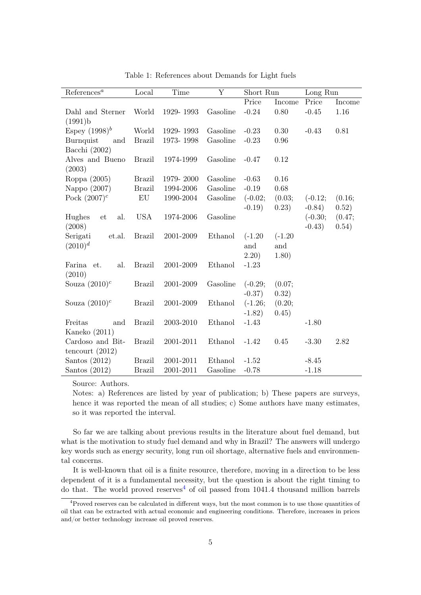| References <sup>a</sup>   | Local         | Time      | Y        | Short Run |           | Long Run  |        |
|---------------------------|---------------|-----------|----------|-----------|-----------|-----------|--------|
|                           |               |           |          | Price     | Income    | Price     | Income |
| Dahl and Sterner          | World         | 1929-1993 | Gasoline | $-0.24$   | 0.80      | $-0.45$   | 1.16   |
| (1991)b                   |               |           |          |           |           |           |        |
| Espey $(1998)^b$          | World         | 1929-1993 | Gasoline | $-0.23$   | 0.30      | $-0.43$   | 0.81   |
| Burnquist<br>and          | <b>Brazil</b> | 1973-1998 | Gasoline | $-0.23$   | 0.96      |           |        |
| Bacchi (2002)             |               |           |          |           |           |           |        |
| Alves and Bueno<br>(2003) | <b>Brazil</b> | 1974-1999 | Gasoline | $-0.47$   | 0.12      |           |        |
| Roppa (2005)              | <b>Brazil</b> | 1979-2000 | Gasoline | $-0.63$   | 0.16      |           |        |
| Nappo (2007)              | <b>Brazil</b> | 1994-2006 | Gasoline | $-0.19$   | 0.68      |           |        |
| Pock $(2007)^c$           | EU            | 1990-2004 | Gasoline | $(-0.02;$ | (0.03;    | $(-0.12;$ | (0.16; |
|                           |               |           |          | $-0.19$   | 0.23)     | $-0.84)$  | 0.52)  |
| Hughes<br>al.<br>et       | <b>USA</b>    | 1974-2006 | Gasoline |           |           | $(-0.30;$ | (0.47; |
| (2008)                    |               |           |          |           |           | $-0.43)$  | (0.54) |
| Serigati<br>et.al.        | <b>Brazil</b> | 2001-2009 | Ethanol  | $(-1.20)$ | $(-1.20)$ |           |        |
| $(2010)^{d}$              |               |           |          | and       | and       |           |        |
|                           |               |           |          | (2.20)    | 1.80)     |           |        |
| Farina et.<br>al.         | <b>Brazil</b> | 2001-2009 | Ethanol  | $-1.23$   |           |           |        |
| (2010)                    |               |           |          |           |           |           |        |
| Souza $(2010)^c$          | <b>Brazil</b> | 2001-2009 | Gasoline | $(-0.29;$ | (0.07;    |           |        |
|                           |               |           |          | $-0.37)$  | (0.32)    |           |        |
| Souza $(2010)^c$          | <b>Brazil</b> | 2001-2009 | Ethanol  | $(-1.26;$ | (0.20;    |           |        |
|                           |               |           |          | $-1.82)$  | (0.45)    |           |        |
| Freitas<br>and            | <b>Brazil</b> | 2003-2010 | Ethanol  | $-1.43$   |           | $-1.80$   |        |
| Kaneko $(2011)$           |               |           |          |           |           |           |        |
| Cardoso and Bit-          | <b>Brazil</b> | 2001-2011 | Ethanol  | $-1.42$   | 0.45      | $-3.30$   | 2.82   |
| tencourt $(2012)$         |               |           |          |           |           |           |        |
| Santos $(2012)$           | <b>Brazil</b> | 2001-2011 | Ethanol  | $-1.52$   |           | $-8.45$   |        |
| Santos $(2012)$           | <b>Brazil</b> | 2001-2011 | Gasoline | $-0.78$   |           | $-1.18$   |        |

Table 1: References about Demands for Light fuels

Source: Authors.

Notes: a) References are listed by year of publication; b) These papers are surveys, hence it was reported the mean of all studies; c) Some authors have many estimates, so it was reported the interval.

So far we are talking about previous results in the literature about fuel demand, but what is the motivation to study fuel demand and why in Brazil? The answers will undergo key words such as energy security, long run oil shortage, alternative fuels and environmental concerns.

It is well-known that oil is a finite resource, therefore, moving in a direction to be less dependent of it is a fundamental necessity, but the question is about the right timing to do that. The world proved reserves<sup>[4](#page-4-0)</sup> of oil passed from  $1041.4$  thousand million barrels

<span id="page-4-0"></span><sup>&</sup>lt;sup>4</sup>Proved reserves can be calculated in different ways, but the most common is to use those quantities of oil that can be extracted with actual economic and engineering conditions. Therefore, increases in prices and/or better technology increase oil proved reserves.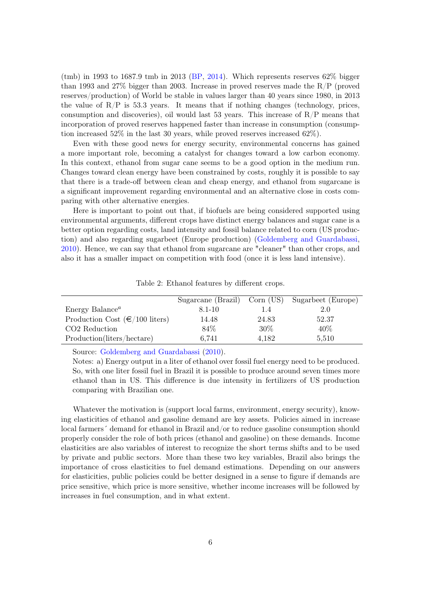(tmb) in 1993 to 1687.9 tmb in 2013 [\(BP,](#page-17-6) [2014\)](#page-17-6). Which represents reserves  $62\%$  bigger than 1993 and 27% bigger than 2003. Increase in proved reserves made the R/P (proved reserves/production) of World be stable in values larger than 40 years since 1980, in 2013 the value of  $R/P$  is 53.3 years. It means that if nothing changes (technology, prices, consumption and discoveries), oil would last 53 years. This increase of R/P means that incorporation of proved reserves happened faster than increase in consumption (consumption increased 52% in the last 30 years, while proved reserves increased 62%).

Even with these good news for energy security, environmental concerns has gained a more important role, becoming a catalyst for changes toward a low carbon economy. In this context, ethanol from sugar cane seems to be a good option in the medium run. Changes toward clean energy have been constrained by costs, roughly it is possible to say that there is a trade-off between clean and cheap energy, and ethanol from sugarcane is a significant improvement regarding environmental and an alternative close in costs comparing with other alternative energies.

Here is important to point out that, if biofuels are being considered supported using environmental arguments, different crops have distinct energy balances and sugar cane is a better option regarding costs, land intensity and fossil balance related to corn (US production) and also regarding sugarbeet (Europe production) [\(Goldemberg and Guardabassi,](#page-17-1) [2010\)](#page-17-1). Hence, we can say that ethanol from sugarcane are "cleaner" than other crops, and also it has a smaller impact on competition with food (once it is less land intensive).

|                                         |        |        | Sugarcane (Brazil) Corn (US) Sugarbeet (Europe) |
|-----------------------------------------|--------|--------|-------------------------------------------------|
| Energy Balance <sup>a</sup>             | 8.1-10 | 1.4    | 2.0                                             |
| Production Cost $(\epsilon/100$ liters) | 14.48  | 24.83  | 52.37                                           |
| CO <sub>2</sub> Reduction               | 84\%   | $30\%$ | 40\%                                            |
| Production(liters/hectare)              | 6,741  | 4.182  | 5,510                                           |

Table 2: Ethanol features by different crops.

Source: [Goldemberg and Guardabassi](#page-17-1) [\(2010\)](#page-17-1).

Notes: a) Energy output in a liter of ethanol over fossil fuel energy need to be produced. So, with one liter fossil fuel in Brazil it is possible to produce around seven times more ethanol than in US. This difference is due intensity in fertilizers of US production comparing with Brazilian one.

Whatever the motivation is (support local farms, environment, energy security), knowing elasticities of ethanol and gasoline demand are key assets. Policies aimed in increase local farmers´ demand for ethanol in Brazil and/or to reduce gasoline consumption should properly consider the role of both prices (ethanol and gasoline) on these demands. Income elasticities are also variables of interest to recognize the short terms shifts and to be used by private and public sectors. More than these two key variables, Brazil also brings the importance of cross elasticities to fuel demand estimations. Depending on our answers for elasticities, public policies could be better designed in a sense to figure if demands are price sensitive, which price is more sensitive, whether income increases will be followed by increases in fuel consumption, and in what extent.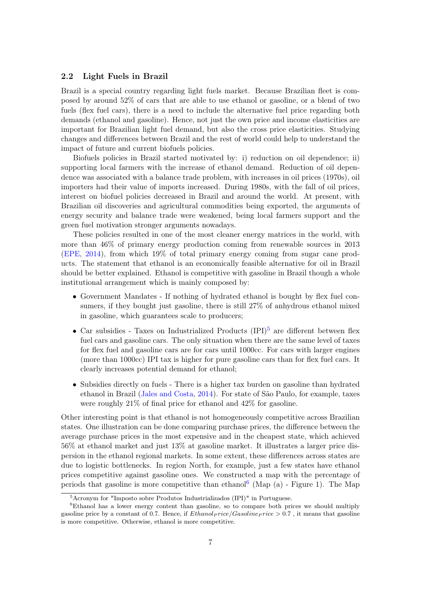#### 2.2 Light Fuels in Brazil

Brazil is a special country regarding light fuels market. Because Brazilian fleet is composed by around 52% of cars that are able to use ethanol or gasoline, or a blend of two fuels (flex fuel cars), there is a need to include the alternative fuel price regarding both demands (ethanol and gasoline). Hence, not just the own price and income elasticities are important for Brazilian light fuel demand, but also the cross price elasticities. Studying changes and differences between Brazil and the rest of world could help to understand the impact of future and current biofuels policies.

Biofuels policies in Brazil started motivated by: i) reduction on oil dependence; ii) supporting local farmers with the increase of ethanol demand. Reduction of oil dependence was associated with a balance trade problem, with increases in oil prices (1970s), oil importers had their value of imports increased. During 1980s, with the fall of oil prices, interest on biofuel policies decreased in Brazil and around the world. At present, with Brazilian oil discoveries and agricultural commodities being exported, the arguments of energy security and balance trade were weakened, being local farmers support and the green fuel motivation stronger arguments nowadays.

These policies resulted in one of the most cleaner energy matrices in the world, with more than 46% of primary energy production coming from renewable sources in 2013 [\(EPE,](#page-17-7) [2014\)](#page-17-7), from which 19% of total primary energy coming from sugar cane products. The statement that ethanol is an economically feasible alternative for oil in Brazil should be better explained. Ethanol is competitive with gasoline in Brazil though a whole institutional arrangement which is mainly composed by:

- Government Mandates If nothing of hydrated ethanol is bought by flex fuel consumers, if they bought just gasoline, there is still 27% of anhydrous ethanol mixed in gasoline, which guarantees scale to producers;
- Car subsidies Taxes on Industrialized Products  $(IPI)^5$  $(IPI)^5$  are different between flex fuel cars and gasoline cars. The only situation when there are the same level of taxes for flex fuel and gasoline cars are for cars until 1000cc. For cars with larger engines (more than 1000cc) IPI tax is higher for pure gasoline cars than for flex fuel cars. It clearly increases potential demand for ethanol;
- Subsidies directly on fuels There is a higher tax burden on gasoline than hydrated ethanol in Brazil [\(Jales and Costa,](#page-18-4) [2014\)](#page-18-4). For state of São Paulo, for example, taxes were roughly 21% of final price for ethanol and 42% for gasoline.

Other interesting point is that ethanol is not homogeneously competitive across Brazilian states. One illustration can be done comparing purchase prices, the difference between the average purchase prices in the most expensive and in the cheapest state, which achieved 56% at ethanol market and just 13% at gasoline market. It illustrates a larger price dispersion in the ethanol regional markets. In some extent, these differences across states are due to logistic bottlenecks. In region North, for example, just a few states have ethanol prices competitive against gasoline ones. We constructed a map with the percentage of periods that gasoline is more competitive than ethanol<sup>[6](#page-6-1)</sup> (Map  $(a)$  - Figure 1). The Map

<span id="page-6-1"></span><span id="page-6-0"></span><sup>5</sup>Acronym for "Imposto sobre Produtos Industrializados (IPI)" in Portuguese.

 ${}^6$ Ethanol has a lower energy content than gasoline, so to compare both prices we should multiply gasoline price by a constant of 0.7. Hence, if  $Ethanolprice/Gasoline price > 0.7$ , it means that gasoline is more competitive. Otherwise, ethanol is more competitive.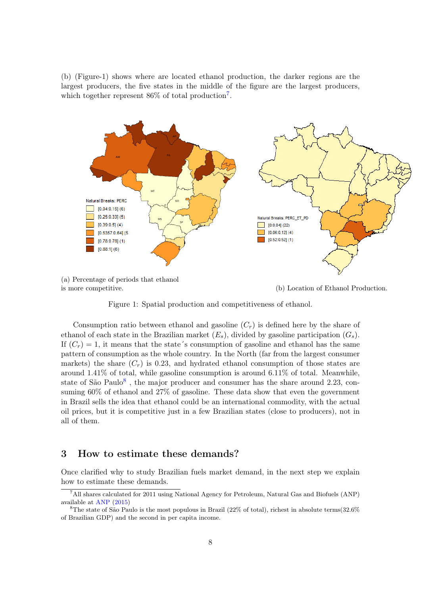(b) (Figure-1) shows where are located ethanol production, the darker regions are the largest producers, the five states in the middle of the figure are the largest producers, which together represent 86% of total production<sup>[7](#page-7-0)</sup>.



is more competitive. (b) Location of Ethanol Production.

Figure 1: Spatial production and competitiveness of ethanol.

Consumption ratio between ethanol and gasoline  $(C_r)$  is defined here by the share of ethanol of each state in the Brazilian market  $(E_s)$ , divided by gasoline participation  $(G_s)$ . If  $(C_r) = 1$ , it means that the state's consumption of gasoline and ethanol has the same pattern of consumption as the whole country. In the North (far from the largest consumer markets) the share  $(C_r)$  is 0.23, and hydrated ethanol consumption of those states are around 1.41% of total, while gasoline consumption is around 6.11% of total. Meanwhile, state of São Paulo<sup>[8](#page-7-1)</sup>, the major producer and consumer has the share around 2.23, consuming 60% of ethanol and 27% of gasoline. These data show that even the government in Brazil sells the idea that ethanol could be an international commodity, with the actual oil prices, but it is competitive just in a few Brazilian states (close to producers), not in all of them.

### 3 How to estimate these demands?

Once clarified why to study Brazilian fuels market demand, in the next step we explain how to estimate these demands.

<span id="page-7-0"></span><sup>7</sup>All shares calculated for 2011 using National Agency for Petroleum, Natural Gas and Biofuels (ANP) available at [ANP](#page-17-8) [\(2015\)](#page-17-8)

<span id="page-7-1"></span><sup>&</sup>lt;sup>8</sup>The state of São Paulo is the most populous in Brazil (22% of total), richest in absolute terms(32.6% of Brazilian GDP) and the second in per capita income.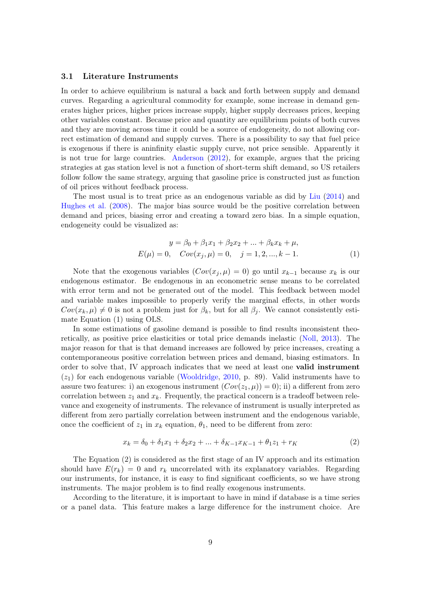#### 3.1 Literature Instruments

In order to achieve equilibrium is natural a back and forth between supply and demand curves. Regarding a agricultural commodity for example, some increase in demand generates higher prices, higher prices increase supply, higher supply decreases prices, keeping other variables constant. Because price and quantity are equilibrium points of both curves and they are moving across time it could be a source of endogeneity, do not allowing correct estimation of demand and supply curves. There is a possibility to say that fuel price is exogenous if there is aninfinity elastic supply curve, not price sensible. Apparently it is not true for large countries. [Anderson](#page-17-9) [\(2012\)](#page-17-9), for example, argues that the pricing strategies at gas station level is not a function of short-term shift demand, so US retailers follow follow the same strategy, arguing that gasoline price is constructed just as function of oil prices without feedback process.

The most usual is to treat price as an endogenous variable as did by [Liu](#page-18-1) [\(2014\)](#page-18-1) and [Hughes et al.](#page-18-5) [\(2008\)](#page-18-5). The major bias source would be the positive correlation between demand and prices, biasing error and creating a toward zero bias. In a simple equation, endogeneity could be visualized as:

$$
y = \beta_0 + \beta_1 x_1 + \beta_2 x_2 + \dots + \beta_k x_k + \mu,
$$
  
\n
$$
E(\mu) = 0, \quad Cov(x_j, \mu) = 0, \quad j = 1, 2, \dots, k - 1.
$$
\n(1)

Note that the exogenous variables  $(Cov(x_i, \mu) = 0)$  go until  $x_{k-1}$  because  $x_k$  is our endogenous estimator. Be endogenous in an econometric sense means to be correlated with error term and not be generated out of the model. This feedback between model and variable makes impossible to properly verify the marginal effects, in other words  $Cov(x_k, \mu) \neq 0$  is not a problem just for  $\beta_k$ , but for all  $\beta_j$ . We cannot consistently estimate Equation (1) using OLS.

In some estimations of gasoline demand is possible to find results inconsistent theoretically, as positive price elasticities or total price demands inelastic [\(Noll,](#page-18-6) [2013\)](#page-18-6). The major reason for that is that demand increases are followed by price increases, creating a contemporaneous positive correlation between prices and demand, biasing estimators. In order to solve that, IV approach indicates that we need at least one valid instrument  $(z_1)$  for each endogenous variable [\(Wooldridge,](#page-18-7) [2010,](#page-18-7) p. 89). Valid instruments have to assure two features: i) an exogenous instrument  $(Cov(z_1, \mu)) = 0$ ; ii) a different from zero correlation between  $z_1$  and  $x_k$ . Frequently, the practical concern is a tradeoff between relevance and exogeneity of instruments. The relevance of instrument is usually interpreted as different from zero partially correlation between instrument and the endogenous variable, once the coefficient of  $z_1$  in  $x_k$  equation,  $\theta_1$ , need to be different from zero:

$$
x_k = \delta_0 + \delta_1 x_1 + \delta_2 x_2 + \dots + \delta_{K-1} x_{K-1} + \theta_1 z_1 + r_K \tag{2}
$$

The Equation (2) is considered as the first stage of an IV approach and its estimation should have  $E(r_k) = 0$  and  $r_k$  uncorrelated with its explanatory variables. Regarding our instruments, for instance, it is easy to find significant coefficients, so we have strong instruments. The major problem is to find really exogenous instruments.

According to the literature, it is important to have in mind if database is a time series or a panel data. This feature makes a large difference for the instrument choice. Are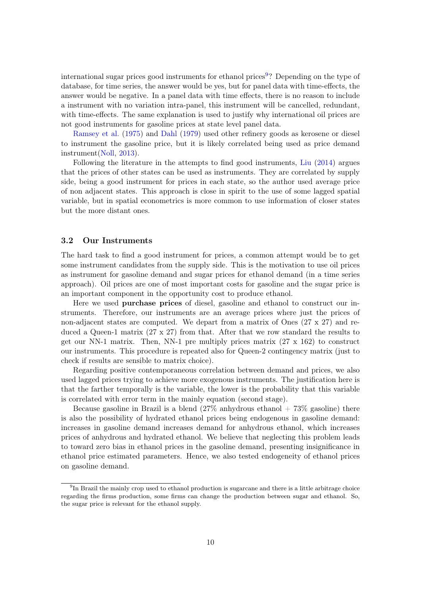international sugar prices good instruments for ethanol prices<sup>[9](#page-9-0)</sup>? Depending on the type of database, for time series, the answer would be yes, but for panel data with time-effects, the answer would be negative. In a panel data with time effects, there is no reason to include a instrument with no variation intra-panel, this instrument will be cancelled, redundant, with time-effects. The same explanation is used to justify why international oil prices are not good instruments for gasoline prices at state level panel data.

[Ramsey et al.](#page-18-8) [\(1975\)](#page-18-8) and [Dahl](#page-17-10) [\(1979\)](#page-17-10) used other refinery goods as kerosene or diesel to instrument the gasoline price, but it is likely correlated being used as price demand instrument[\(Noll,](#page-18-6) [2013\)](#page-18-6).

Following the literature in the attempts to find good instruments, [Liu](#page-18-1) [\(2014\)](#page-18-1) argues that the prices of other states can be used as instruments. They are correlated by supply side, being a good instrument for prices in each state, so the author used average price of non adjacent states. This approach is close in spirit to the use of some lagged spatial variable, but in spatial econometrics is more common to use information of closer states but the more distant ones.

#### 3.2 Our Instruments

The hard task to find a good instrument for prices, a common attempt would be to get some instrument candidates from the supply side. This is the motivation to use oil prices as instrument for gasoline demand and sugar prices for ethanol demand (in a time series approach). Oil prices are one of most important costs for gasoline and the sugar price is an important component in the opportunity cost to produce ethanol.

Here we used purchase prices of diesel, gasoline and ethanol to construct our instruments. Therefore, our instruments are an average prices where just the prices of non-adjacent states are computed. We depart from a matrix of Ones (27 x 27) and reduced a Queen-1 matrix  $(27 \times 27)$  from that. After that we row standard the results to get our NN-1 matrix. Then, NN-1 pre multiply prices matrix  $(27 \times 162)$  to construct our instruments. This procedure is repeated also for Queen-2 contingency matrix (just to check if results are sensible to matrix choice).

Regarding positive contemporaneous correlation between demand and prices, we also used lagged prices trying to achieve more exogenous instruments. The justification here is that the farther temporally is the variable, the lower is the probability that this variable is correlated with error term in the mainly equation (second stage).

Because gasoline in Brazil is a blend  $(27\%$  anhydrous ethanol  $+73\%$  gasoline) there is also the possibility of hydrated ethanol prices being endogenous in gasoline demand: increases in gasoline demand increases demand for anhydrous ethanol, which increases prices of anhydrous and hydrated ethanol. We believe that neglecting this problem leads to toward zero bias in ethanol prices in the gasoline demand, presenting insignificance in ethanol price estimated parameters. Hence, we also tested endogeneity of ethanol prices on gasoline demand.

<span id="page-9-0"></span><sup>&</sup>lt;sup>9</sup>In Brazil the mainly crop used to ethanol production is sugarcane and there is a little arbitrage choice regarding the firms production, some firms can change the production between sugar and ethanol. So, the sugar price is relevant for the ethanol supply.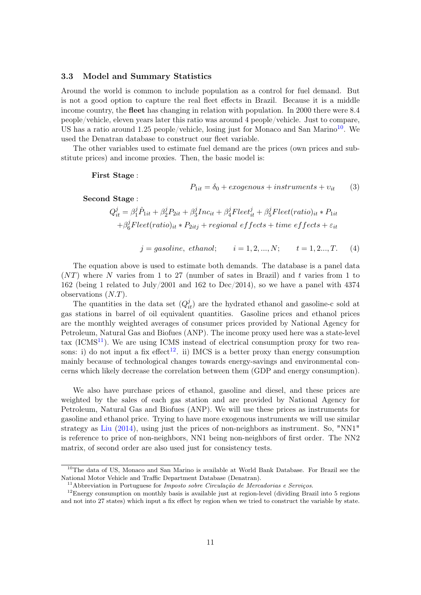#### 3.3 Model and Summary Statistics

Around the world is common to include population as a control for fuel demand. But is not a good option to capture the real fleet effects in Brazil. Because it is a middle income country, the fleet has changing in relation with population. In 2000 there were 8.4 people/vehicle, eleven years later this ratio was around 4 people/vehicle. Just to compare, US has a ratio around 1.25 people/vehicle, losing just for Monaco and San Marino<sup>[10](#page-10-0)</sup>. We used the Denatran database to construct our fleet variable.

The other variables used to estimate fuel demand are the prices (own prices and substitute prices) and income proxies. Then, the basic model is:

First Stage :

$$
P_{1it} = \delta_0 + exogenous + instruments + v_{it} \tag{3}
$$

Second Stage :

$$
Q_{it}^{j} = \beta_1^{j} \hat{P}_{1it} + \beta_2^{j} P_{2it} + \beta_3^{j} Inc_{it} + \beta_4^{j} Fleet_{it}^{j} + \beta_5^{j} Fleet(ratio)_{it} * P_{1it}
$$
  
+
$$
\beta_6^{j} Fleet(ratio)_{it} * P_{2itj} + regional\ effects + time\ effects + \varepsilon_{it}
$$

$$
j = gasoline, ethanol;
$$
  $i = 1, 2, ..., N;$   $t = 1, 2, ..., T.$  (4)

The equation above is used to estimate both demands. The database is a panel data  $(NT)$  where N varies from 1 to 27 (number of sates in Brazil) and t varies from 1 to 162 (being 1 related to July/2001 and 162 to Dec/2014), so we have a panel with 4374 observations (N.T).

The quantities in the data set  $(Q_{it}^j)$  are the hydrated ethanol and gasoline-c sold at gas stations in barrel of oil equivalent quantities. Gasoline prices and ethanol prices are the monthly weighted averages of consumer prices provided by National Agency for Petroleum, Natural Gas and Biofues (ANP). The income proxy used here was a state-level tax  $(ICMS<sup>11</sup>)$  $(ICMS<sup>11</sup>)$  $(ICMS<sup>11</sup>)$ . We are using ICMS instead of electrical consumption proxy for two rea-sons: i) do not input a fix effect<sup>[12](#page-10-2)</sup>. ii) IMCS is a better proxy than energy consumption mainly because of technological changes towards energy-savings and environmental concerns which likely decrease the correlation between them (GDP and energy consumption).

We also have purchase prices of ethanol, gasoline and diesel, and these prices are weighted by the sales of each gas station and are provided by National Agency for Petroleum, Natural Gas and Biofues (ANP). We will use these prices as instruments for gasoline and ethanol price. Trying to have more exogenous instruments we will use similar strategy as [Liu](#page-18-1) [\(2014\)](#page-18-1), using just the prices of non-neighbors as instrument. So, "NN1" is reference to price of non-neighbors, NN1 being non-neighbors of first order. The NN2 matrix, of second order are also used just for consistency tests.

<span id="page-10-0"></span><sup>&</sup>lt;sup>10</sup>The data of US, Monaco and San Marino is available at World Bank Database. For Brazil see the National Motor Vehicle and Traffic Department Database (Denatran).

<span id="page-10-2"></span><span id="page-10-1"></span><sup>&</sup>lt;sup>11</sup>Abbreviation in Portuguese for *Imposto sobre Circulação de Mercadorias e Serviços*.

<sup>&</sup>lt;sup>12</sup>Energy consumption on monthly basis is available just at region-level (dividing Brazil into 5 regions and not into 27 states) which input a fix effect by region when we tried to construct the variable by state.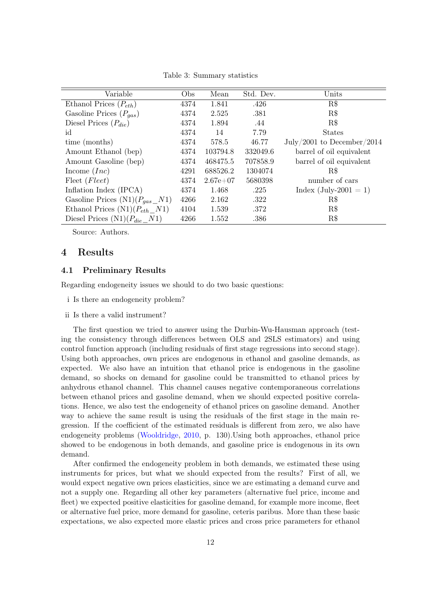Variable Obs Mean Std. Dev. Units Ethanol Prices  $(P_{eth})$  4374 1.841 .426 R\$ Gasoline Prices  $(P_{gas})$  4374 2.525 .381 R\$ Diesel Prices  $(P_{die})$  4374 1.894 .44 R\$ id 4374 14 7.79 States time (months) 4374 578.5 46.77 July/2001 to December/2014 Amount Ethanol (bep) 4374 103794.8 332049.6 barrel of oil equivalent Amount Gasoline (bep) 4374 468475.5 707858.9 barrel of oil equivalent Income  $(Inc)$  4291 688526.2 1304074 R\$ Fleet (Fleet) 4374 2.67e+07 5680398 number of cars Inflation Index (IPCA)  $4374$  1.468 .225 Index (July-2001 = 1) Gasoline Prices  $(N1)(P_{gas} N1)$  4266 2.162 .322 R\$ Ethanol Prices  $(N1)(P_{eth}N1)$  4104 1.539 .372 R\$ Diesel Prices  $(N1)(P_{die}N1)$  4266 1.552 .386 R\$

Table 3: Summary statistics

Source: Authors.

## 4 Results

#### 4.1 Preliminary Results

Regarding endogeneity issues we should to do two basic questions:

- i Is there an endogeneity problem?
- ii Is there a valid instrument?

The first question we tried to answer using the Durbin-Wu-Hausman approach (testing the consistency through differences between OLS and 2SLS estimators) and using control function approach (including residuals of first stage regressions into second stage). Using both approaches, own prices are endogenous in ethanol and gasoline demands, as expected. We also have an intuition that ethanol price is endogenous in the gasoline demand, so shocks on demand for gasoline could be transmitted to ethanol prices by anhydrous ethanol channel. This channel causes negative contemporaneous correlations between ethanol prices and gasoline demand, when we should expected positive correlations. Hence, we also test the endogeneity of ethanol prices on gasoline demand. Another way to achieve the same result is using the residuals of the first stage in the main regression. If the coefficient of the estimated residuals is different from zero, we also have endogeneity problems [\(Wooldridge,](#page-18-7) [2010,](#page-18-7) p. 130).Using both approaches, ethanol price showed to be endogenous in both demands, and gasoline price is endogenous in its own demand.

After confirmed the endogeneity problem in both demands, we estimated these using instruments for prices, but what we should expected from the results? First of all, we would expect negative own prices elasticities, since we are estimating a demand curve and not a supply one. Regarding all other key parameters (alternative fuel price, income and fleet) we expected positive elasticities for gasoline demand, for example more income, fleet or alternative fuel price, more demand for gasoline, ceteris paribus. More than these basic expectations, we also expected more elastic prices and cross price parameters for ethanol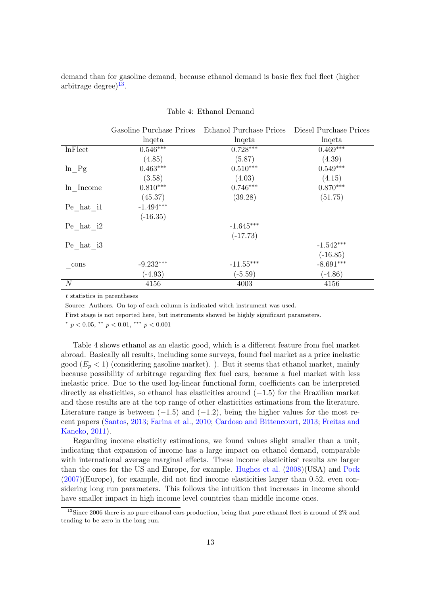demand than for gasoline demand, because ethanol demand is basic flex fuel fleet (higher arbitrage degree) $13$ .

|                    | Gasoline Purchase Prices | Ethanol Purchase Prices | Diesel Purchase Prices |
|--------------------|--------------------------|-------------------------|------------------------|
|                    | lnqeta                   | lnqeta                  | lnqeta                 |
| <b>lnFleet</b>     | $0.546***$               | $0.728***$              | $0.469***$             |
|                    | (4.85)                   | (5.87)                  | (4.39)                 |
| $\ln\_{\text{Pg}}$ | $0.463***$               | $0.510***$              | $0.549***$             |
|                    | (3.58)                   | (4.03)                  | (4.15)                 |
| ln Income          | $0.810***$               | $0.746***$              | $0.870***$             |
|                    | (45.37)                  | (39.28)                 | (51.75)                |
| Pe hat il          | $-1.494***$              |                         |                        |
|                    | $(-16.35)$               |                         |                        |
| Pe hat i2          |                          | $-1.645***$             |                        |
|                    |                          | $(-17.73)$              |                        |
| Pe hat i3          |                          |                         | $-1.542***$            |
|                    |                          |                         | $(-16.85)$             |
| cons               | $-9.232***$              | $-11.55***$             | $-8.691***$            |
|                    | $(-4.93)$                | $(-5.59)$               | $(-4.86)$              |
| $\cal N$           | 4156                     | 4003                    | 4156                   |

Table 4: Ethanol Demand

t statistics in parentheses

Source: Authors. On top of each column is indicated witch instrument was used.

First stage is not reported here, but instruments showed be highly significant parameters.

\*  $p < 0.05$ , \*\*  $p < 0.01$ , \*\*\*  $p < 0.001$ 

Table 4 shows ethanol as an elastic good, which is a different feature from fuel market abroad. Basically all results, including some surveys, found fuel market as a price inelastic good  $(E_p < 1)$  (considering gasoline market). ). But it seems that ethanol market, mainly because possibility of arbitrage regarding flex fuel cars, became a fuel market with less inelastic price. Due to the used log-linear functional form, coefficients can be interpreted directly as elasticities, so ethanol has elasticities around (−1.5) for the Brazilian market and these results are at the top range of other elasticities estimations from the literature. Literature range is between  $(-1.5)$  and  $(-1.2)$ , being the higher values for the most recent papers [\(Santos,](#page-18-3) [2013;](#page-18-3) [Farina et al.,](#page-17-11) [2010;](#page-17-11) [Cardoso and Bittencourt,](#page-17-12) [2013;](#page-17-12) [Freitas and](#page-17-13) [Kaneko,](#page-17-13) [2011\)](#page-17-13).

Regarding income elasticity estimations, we found values slight smaller than a unit, indicating that expansion of income has a large impact on ethanol demand, comparable with international average marginal effects. These income elasticities' results are larger than the ones for the US and Europe, for example. [Hughes et al.](#page-18-5) [\(2008\)](#page-18-5)(USA) and [Pock](#page-18-9) [\(2007\)](#page-18-9)(Europe), for example, did not find income elasticities larger than 0.52, even considering long run parameters. This follows the intuition that increases in income should have smaller impact in high income level countries than middle income ones.

<span id="page-12-0"></span><sup>&</sup>lt;sup>13</sup>Since 2006 there is no pure ethanol cars production, being that pure ethanol fleet is around of 2% and tending to be zero in the long run.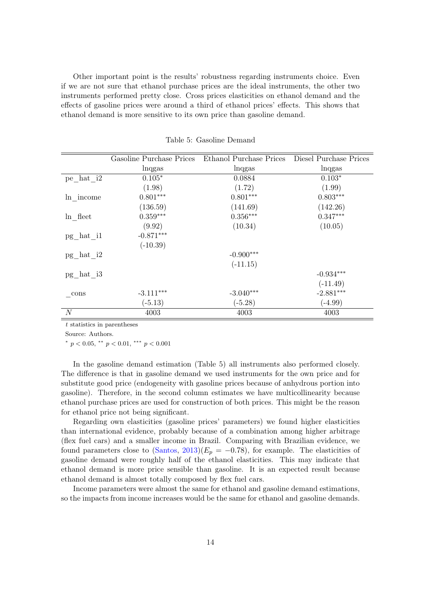Other important point is the results' robustness regarding instruments choice. Even if we are not sure that ethanol purchase prices are the ideal instruments, the other two instruments performed pretty close. Cross prices elasticities on ethanol demand and the effects of gasoline prices were around a third of ethanol prices' effects. This shows that ethanol demand is more sensitive to its own price than gasoline demand.

|                  |             | Gasoline Purchase Prices Ethanol Purchase Prices Diesel Purchase Prices |             |
|------------------|-------------|-------------------------------------------------------------------------|-------------|
|                  | lnqgas      | lnqgas                                                                  | lnqgas      |
| pe hat i2        | $0.105*$    | 0.0884                                                                  | $0.103*$    |
|                  | (1.98)      | (1.72)                                                                  | (1.99)      |
| ln income        | $0.801***$  | $0.801***$                                                              | $0.803***$  |
|                  | (136.59)    | (141.69)                                                                | (142.26)    |
| ln fleet         | $0.359***$  | $0.356***$                                                              | $0.347***$  |
|                  | (9.92)      | (10.34)                                                                 | (10.05)     |
| pg hat il        | $-0.871***$ |                                                                         |             |
|                  | $(-10.39)$  |                                                                         |             |
| $pg\_hat_i2$     |             | $-0.900***$                                                             |             |
|                  |             | $(-11.15)$                                                              |             |
| $pg\_hat\_i3$    |             |                                                                         | $-0.934***$ |
|                  |             |                                                                         | $(-11.49)$  |
| $_{\rm -cons}$   | $-3.111***$ | $-3.040***$                                                             | $-2.881***$ |
|                  | $(-5.13)$   | $(-5.28)$                                                               | $(-4.99)$   |
| $\boldsymbol{N}$ | 4003        | 4003                                                                    | 4003        |

Table 5: Gasoline Demand

t statistics in parentheses

Source: Authors.

\*  $p < 0.05$ , \*\*  $p < 0.01$ , \*\*\*  $p < 0.001$ 

In the gasoline demand estimation (Table 5) all instruments also performed closely. The difference is that in gasoline demand we used instruments for the own price and for substitute good price (endogeneity with gasoline prices because of anhydrous portion into gasoline). Therefore, in the second column estimates we have multicollinearity because ethanol purchase prices are used for construction of both prices. This might be the reason for ethanol price not being significant.

Regarding own elasticities (gasoline prices' parameters) we found higher elasticities than international evidence, probably because of a combination among higher arbitrage (flex fuel cars) and a smaller income in Brazil. Comparing with Brazilian evidence, we found parameters close to [\(Santos,](#page-18-3)  $2013(E_p = -0.78)$ , for example. The elasticities of gasoline demand were roughly half of the ethanol elasticities. This may indicate that ethanol demand is more price sensible than gasoline. It is an expected result because ethanol demand is almost totally composed by flex fuel cars.

Income parameters were almost the same for ethanol and gasoline demand estimations, so the impacts from income increases would be the same for ethanol and gasoline demands.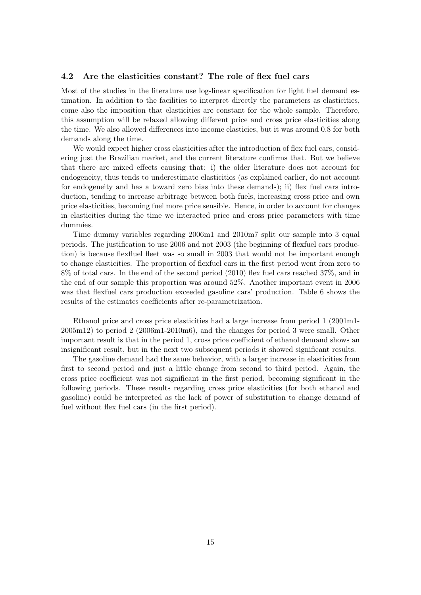#### 4.2 Are the elasticities constant? The role of flex fuel cars

Most of the studies in the literature use log-linear specification for light fuel demand estimation. In addition to the facilities to interpret directly the parameters as elasticities, come also the imposition that elasticities are constant for the whole sample. Therefore, this assumption will be relaxed allowing different price and cross price elasticities along the time. We also allowed differences into income elasticies, but it was around 0.8 for both demands along the time.

We would expect higher cross elasticities after the introduction of flex fuel cars, considering just the Brazilian market, and the current literature confirms that. But we believe that there are mixed effects causing that: i) the older literature does not account for endogeneity, thus tends to underestimate elasticities (as explained earlier, do not account for endogeneity and has a toward zero bias into these demands); ii) flex fuel cars introduction, tending to increase arbitrage between both fuels, increasing cross price and own price elasticities, becoming fuel more price sensible. Hence, in order to account for changes in elasticities during the time we interacted price and cross price parameters with time dummies.

Time dummy variables regarding 2006m1 and 2010m7 split our sample into 3 equal periods. The justification to use 2006 and not 2003 (the beginning of flexfuel cars production) is because flexfluel fleet was so small in 2003 that would not be important enough to change elasticities. The proportion of flexfuel cars in the first period went from zero to 8% of total cars. In the end of the second period (2010) flex fuel cars reached 37%, and in the end of our sample this proportion was around 52%. Another important event in 2006 was that flexfuel cars production exceeded gasoline cars' production. Table 6 shows the results of the estimates coefficients after re-parametrization.

Ethanol price and cross price elasticities had a large increase from period 1 (2001m1- 2005m12) to period 2 (2006m1-2010m6), and the changes for period 3 were small. Other important result is that in the period 1, cross price coefficient of ethanol demand shows an insignificant result, but in the next two subsequent periods it showed significant results.

The gasoline demand had the same behavior, with a larger increase in elasticities from first to second period and just a little change from second to third period. Again, the cross price coefficient was not significant in the first period, becoming significant in the following periods. These results regarding cross price elasticities (for both ethanol and gasoline) could be interpreted as the lack of power of substitution to change demand of fuel without flex fuel cars (in the first period).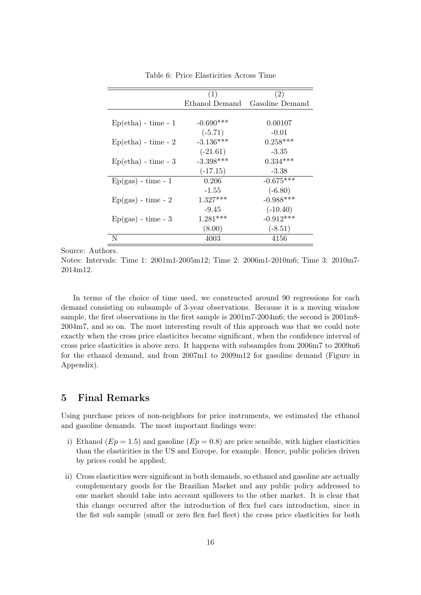|                       | (1)            | (2)             |
|-----------------------|----------------|-----------------|
|                       | Ethanol Demand | Gasoline Demand |
|                       |                |                 |
| $Ep(etha) - time - 1$ | $-0.690***$    | 0.00107         |
|                       | $(-5.71)$      | $-0.01$         |
| $Ep(etha) - time - 2$ | $-3.136***$    | $0.258***$      |
|                       | $(-21.61)$     | $-3.35$         |
| $Ep(etha) - time - 3$ | $-3.398***$    | $0.334***$      |
|                       | $(-17.15)$     | $-3.38$         |
| $Ep(gas) - time - 1$  | 0.206          | $-0.675***$     |
|                       | $-1.55$        | $(-6.80)$       |
| $Ep(gas) - time - 2$  | $1.327***$     | $-0.988***$     |
|                       | $-9.45$        | $(-10.40)$      |
| $Ep(gas) - time - 3$  | $1.281***$     | $-0.912***$     |
|                       | (8.00)         | $(-8.51)$       |
| N                     | 4003           | 4156            |

Table 6: Price Elasticities Across Time

Source: Authors.

Notes: Intervals: Time 1: 2001m1-2005m12; Time 2: 2006m1-2010m6; Time 3: 2010m7- 2014m12.

In terms of the choice of time used, we constructed around 90 regressions for each demand consisting on subsample of 3-year observations. Because it is a moving window sample, the first observations in the first sample is 2001m7-2004m6; the second is 2001m8- 2004m7, and so on. The most interesting result of this approach was that we could note exactly when the cross price elasticites became significant, when the confidence interval of cross price elasticities is above zero. It happens with subsamples from 2006m7 to 2009m6 for the ethanol demand, and from 2007m1 to 2009m12 for gasoline demand (Figure in Appendix).

# 5 Final Remarks

Using purchase prices of non-neighbors for price instruments, we estimated the ethanol and gasoline demands. The most important findings were:

- i) Ethanol ( $Ep = 1.5$ ) and gasoline ( $Ep = 0.8$ ) are price sensible, with higher elasticities than the elasticities in the US and Europe, for example. Hence, public policies driven by prices could be applied;
- ii) Cross elasticities were significant in both demands, so ethanol and gasoline are actually complementary goods for the Brazilian Market and any public policy addressed to one market should take into account spillovers to the other market. It is clear that this change occurred after the introduction of flex fuel cars introduction, since in the fist sub sample (small or zero flex fuel fleet) the cross price elasticities for both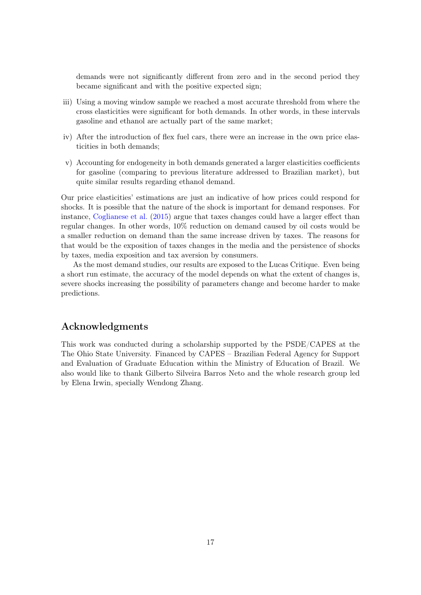demands were not significantly different from zero and in the second period they became significant and with the positive expected sign;

- iii) Using a moving window sample we reached a most accurate threshold from where the cross elasticities were significant for both demands. In other words, in these intervals gasoline and ethanol are actually part of the same market;
- iv) After the introduction of flex fuel cars, there were an increase in the own price elasticities in both demands;
- v) Accounting for endogeneity in both demands generated a larger elasticities coefficients for gasoline (comparing to previous literature addressed to Brazilian market), but quite similar results regarding ethanol demand.

Our price elasticities' estimations are just an indicative of how prices could respond for shocks. It is possible that the nature of the shock is important for demand responses. For instance, [Coglianese et al.](#page-17-14) [\(2015\)](#page-17-14) argue that taxes changes could have a larger effect than regular changes. In other words, 10% reduction on demand caused by oil costs would be a smaller reduction on demand than the same increase driven by taxes. The reasons for that would be the exposition of taxes changes in the media and the persistence of shocks by taxes, media exposition and tax aversion by consumers.

As the most demand studies, our results are exposed to the Lucas Critique. Even being a short run estimate, the accuracy of the model depends on what the extent of changes is, severe shocks increasing the possibility of parameters change and become harder to make predictions.

# Acknowledgments

This work was conducted during a scholarship supported by the PSDE/CAPES at the The Ohio State University. Financed by CAPES – Brazilian Federal Agency for Support and Evaluation of Graduate Education within the Ministry of Education of Brazil. We also would like to thank Gilberto Silveira Barros Neto and the whole research group led by Elena Irwin, specially Wendong Zhang.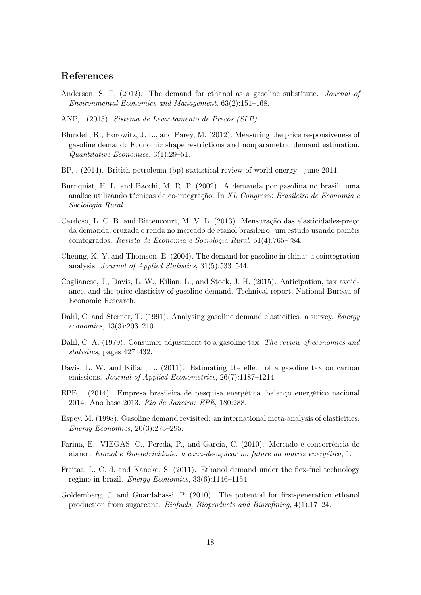# References

- <span id="page-17-9"></span>Anderson, S. T. (2012). The demand for ethanol as a gasoline substitute. *Journal of* Environmental Economics and Management, 63(2):151–168.
- <span id="page-17-8"></span>ANP, . (2015). Sistema de Levantamento de Preços (SLP).
- Blundell, R., Horowitz, J. L., and Parey, M. (2012). Measuring the price responsiveness of gasoline demand: Economic shape restrictions and nonparametric demand estimation. Quantitative Economics, 3(1):29–51.
- <span id="page-17-6"></span>BP, . (2014). Britith petroleum (bp) statistical review of world energy - june 2014.
- <span id="page-17-2"></span>Burnquist, H. L. and Bacchi, M. R. P. (2002). A demanda por gasolina no brasil: uma análise utilizando técnicas de co-integração. In XL Congresso Brasileiro de Economia e Sociologia Rural.
- <span id="page-17-12"></span>Cardoso, L. C. B. and Bittencourt, M. V. L. (2013). Mensuração das elasticidades-preço da demanda, cruzada e renda no mercado de etanol brasileiro: um estudo usando painéis cointegrados. Revista de Economia e Sociologia Rural, 51(4):765–784.
- <span id="page-17-3"></span>Cheung, K.-Y. and Thomson, E. (2004). The demand for gasoline in china: a cointegration analysis. Journal of Applied Statistics, 31(5):533–544.
- <span id="page-17-14"></span>Coglianese, J., Davis, L. W., Kilian, L., and Stock, J. H. (2015). Anticipation, tax avoidance, and the price elasticity of gasoline demand. Technical report, National Bureau of Economic Research.
- <span id="page-17-4"></span>Dahl, C. and Sterner, T. (1991). Analysing gasoline demand elasticities: a survey. Energy economics, 13(3):203–210.
- <span id="page-17-10"></span>Dahl, C. A. (1979). Consumer adjustment to a gasoline tax. The review of economics and statistics, pages 427–432.
- <span id="page-17-0"></span>Davis, L. W. and Kilian, L. (2011). Estimating the effect of a gasoline tax on carbon emissions. *Journal of Applied Econometrics*, 26(7):1187–1214.
- <span id="page-17-7"></span>EPE, . (2014). Empresa brasileira de pesquisa energética. balanço energético nacional 2014: Ano base 2013. Rio de Janeiro: EPE, 180:288.
- <span id="page-17-5"></span>Espey, M. (1998). Gasoline demand revisited: an international meta-analysis of elasticities. Energy Economics, 20(3):273–295.
- <span id="page-17-11"></span>Farina, E., VIEGAS, C., Pereda, P., and Garcia, C. (2010). Mercado e concorrência do etanol. Etanol e Bioeletricidade: a cana-de-açúcar no future da matriz energética, 1.
- <span id="page-17-13"></span>Freitas, L. C. d. and Kaneko, S. (2011). Ethanol demand under the flex-fuel technology regime in brazil. *Energy Economics*,  $33(6):1146-1154$ .
- <span id="page-17-1"></span>Goldemberg, J. and Guardabassi, P. (2010). The potential for first-generation ethanol production from sugarcane. Biofuels, Bioproducts and Biorefining, 4(1):17–24.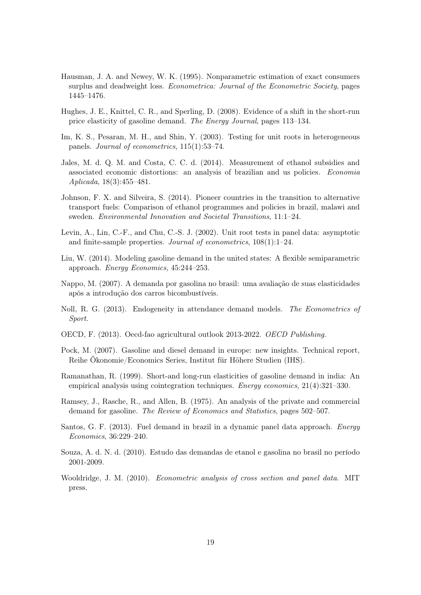- Hausman, J. A. and Newey, W. K. (1995). Nonparametric estimation of exact consumers surplus and deadweight loss. *Econometrica: Journal of the Econometric Society*, pages 1445–1476.
- <span id="page-18-5"></span>Hughes, J. E., Knittel, C. R., and Sperling, D. (2008). Evidence of a shift in the short-run price elasticity of gasoline demand. The Energy Journal, pages 113–134.
- Im, K. S., Pesaran, M. H., and Shin, Y. (2003). Testing for unit roots in heterogeneous panels. Journal of econometrics, 115(1):53–74.
- <span id="page-18-4"></span>Jales, M. d. Q. M. and Costa, C. C. d. (2014). Measurement of ethanol subsidies and associated economic distortions: an analysis of brazilian and us policies. Economia Aplicada, 18(3):455–481.
- <span id="page-18-2"></span>Johnson, F. X. and Silveira, S. (2014). Pioneer countries in the transition to alternative transport fuels: Comparison of ethanol programmes and policies in brazil, malawi and sweden. Environmental Innovation and Societal Transitions, 11:1–24.
- Levin, A., Lin, C.-F., and Chu, C.-S. J. (2002). Unit root tests in panel data: asymptotic and finite-sample properties. Journal of econometrics, 108(1):1–24.
- <span id="page-18-1"></span>Liu, W. (2014). Modeling gasoline demand in the united states: A flexible semiparametric approach. Energy Economics, 45:244–253.
- Nappo, M. (2007). A demanda por gasolina no brasil: uma avaliação de suas elasticidades após a introdução dos carros bicombustíveis.
- <span id="page-18-6"></span>Noll, R. G. (2013). Endogeneity in attendance demand models. The Econometrics of Sport.
- <span id="page-18-0"></span>OECD, F. (2013). Oecd-fao agricultural outlook 2013-2022. OECD Publishing.
- <span id="page-18-9"></span>Pock, M. (2007). Gasoline and diesel demand in europe: new insights. Technical report, Reihe Ökonomie/Economics Series, Institut für Höhere Studien (IHS).
- Ramanathan, R. (1999). Short-and long-run elasticities of gasoline demand in india: An empirical analysis using cointegration techniques. *Energy economics*, 21(4):321-330.
- <span id="page-18-8"></span>Ramsey, J., Rasche, R., and Allen, B. (1975). An analysis of the private and commercial demand for gasoline. *The Review of Economics and Statistics*, pages 502–507.
- <span id="page-18-3"></span>Santos, G. F. (2013). Fuel demand in brazil in a dynamic panel data approach. Energy Economics, 36:229–240.
- Souza, A. d. N. d. (2010). Estudo das demandas de etanol e gasolina no brasil no período 2001-2009.
- <span id="page-18-7"></span>Wooldridge, J. M. (2010). Econometric analysis of cross section and panel data. MIT press.